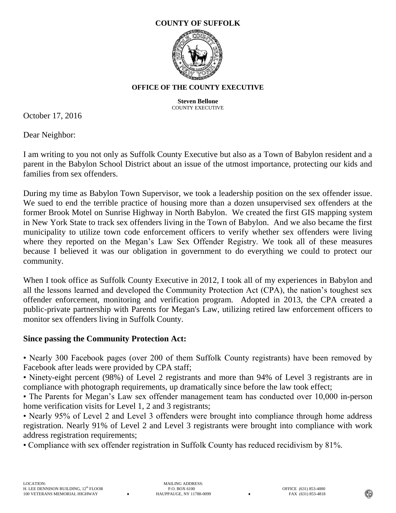## **COUNTY OF SUFFOLK**



## **OFFICE OF THE COUNTY EXECUTIVE**

**Steven Bellone** COUNTY EXECUTIVE

October 17, 2016

Dear Neighbor:

I am writing to you not only as Suffolk County Executive but also as a Town of Babylon resident and a parent in the Babylon School District about an issue of the utmost importance, protecting our kids and families from sex offenders.

During my time as Babylon Town Supervisor, we took a leadership position on the sex offender issue. We sued to end the terrible practice of housing more than a dozen unsupervised sex offenders at the former Brook Motel on Sunrise Highway in North Babylon. We created the first GIS mapping system in New York State to track sex offenders living in the Town of Babylon. And we also became the first municipality to utilize town code enforcement officers to verify whether sex offenders were living where they reported on the Megan's Law Sex Offender Registry. We took all of these measures because I believed it was our obligation in government to do everything we could to protect our community.

When I took office as Suffolk County Executive in 2012, I took all of my experiences in Babylon and all the lessons learned and developed the Community Protection Act (CPA), the nation's toughest sex offender enforcement, monitoring and verification program. Adopted in 2013, the CPA created a public-private partnership with Parents for Megan's Law, utilizing retired law enforcement officers to monitor sex offenders living in Suffolk County.

## **Since passing the Community Protection Act:**

• Nearly 300 Facebook pages (over 200 of them Suffolk County registrants) have been removed by Facebook after leads were provided by CPA staff;

• Ninety-eight percent (98%) of Level 2 registrants and more than 94% of Level 3 registrants are in compliance with photograph requirements, up dramatically since before the law took effect;

• The Parents for Megan's Law sex offender management team has conducted over 10,000 in-person home verification visits for Level 1, 2 and 3 registrants;

• Nearly 95% of Level 2 and Level 3 offenders were brought into compliance through home address registration. Nearly 91% of Level 2 and Level 3 registrants were brought into compliance with work address registration requirements;

• Compliance with sex offender registration in Suffolk County has reduced recidivism by 81%.